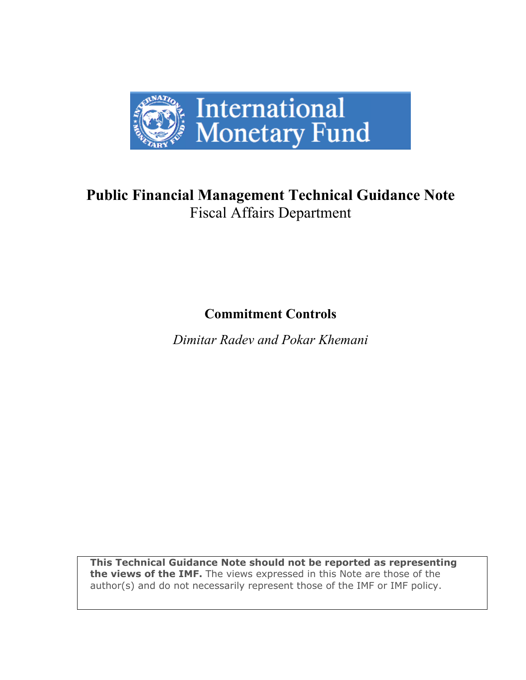

# **Public Financial Management Technical Guidance Note**  Fiscal Affairs Department

**Commitment Controls** 

*Dimitar Radev and Pokar Khemani* 

**This Technical Guidance Note should not be reported as representing the views of the IMF.** The views expressed in this Note are those of the author(s) and do not necessarily represent those of the IMF or IMF policy.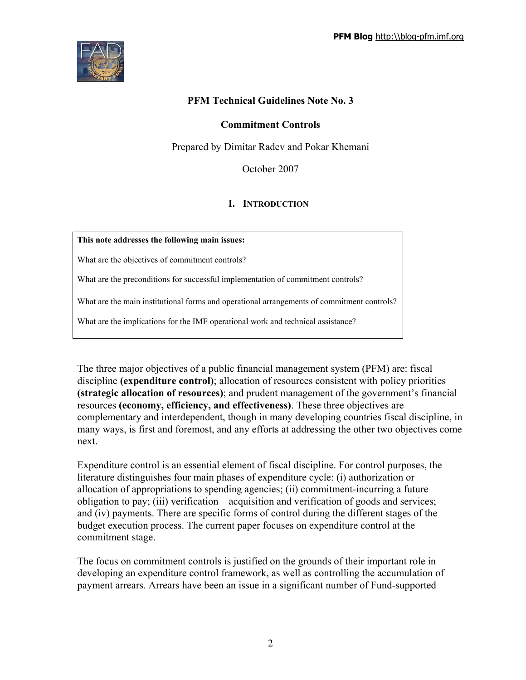

## **PFM Technical Guidelines Note No. 3**

#### **Commitment Controls**

Prepared by Dimitar Radev and Pokar Khemani

October 2007

## **I. INTRODUCTION**

#### **This note addresses the following main issues:**

What are the objectives of commitment controls?

What are the preconditions for successful implementation of commitment controls?

What are the main institutional forms and operational arrangements of commitment controls?

What are the implications for the IMF operational work and technical assistance?

The three major objectives of a public financial management system (PFM) are: fiscal discipline **(expenditure control)**; allocation of resources consistent with policy priorities **(strategic allocation of resources)**; and prudent management of the government's financial resources **(economy, efficiency, and effectiveness)**. These three objectives are complementary and interdependent, though in many developing countries fiscal discipline, in many ways, is first and foremost, and any efforts at addressing the other two objectives come next.

Expenditure control is an essential element of fiscal discipline. For control purposes, the literature distinguishes four main phases of expenditure cycle: (i) authorization or allocation of appropriations to spending agencies; (ii) commitment-incurring a future obligation to pay; (iii) verification—acquisition and verification of goods and services; and (iv) payments. There are specific forms of control during the different stages of the budget execution process. The current paper focuses on expenditure control at the commitment stage.

The focus on commitment controls is justified on the grounds of their important role in developing an expenditure control framework, as well as controlling the accumulation of payment arrears. Arrears have been an issue in a significant number of Fund-supported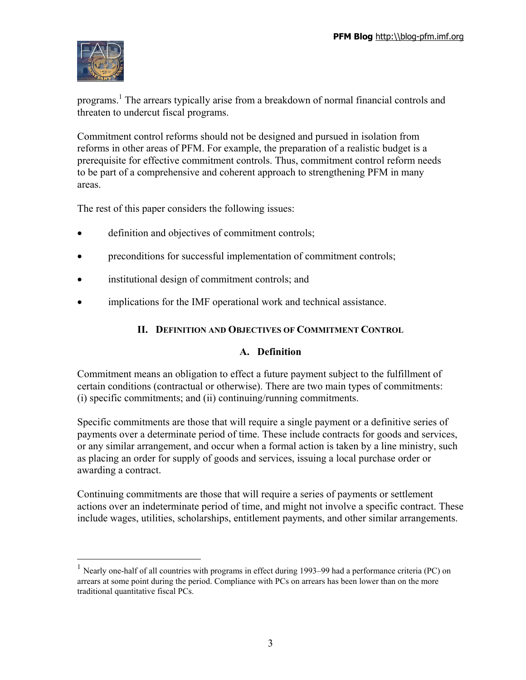

1

programs. 1 The arrears typically arise from a breakdown of normal financial controls and threaten to undercut fiscal programs.

Commitment control reforms should not be designed and pursued in isolation from reforms in other areas of PFM. For example, the preparation of a realistic budget is a prerequisite for effective commitment controls. Thus, commitment control reform needs to be part of a comprehensive and coherent approach to strengthening PFM in many areas.

The rest of this paper considers the following issues:

- definition and objectives of commitment controls;
- preconditions for successful implementation of commitment controls;
- institutional design of commitment controls; and
- implications for the IMF operational work and technical assistance.

## **II. DEFINITION AND OBJECTIVES OF COMMITMENT CONTROL**

## **A. Definition**

Commitment means an obligation to effect a future payment subject to the fulfillment of certain conditions (contractual or otherwise). There are two main types of commitments: (i) specific commitments; and (ii) continuing/running commitments.

Specific commitments are those that will require a single payment or a definitive series of payments over a determinate period of time. These include contracts for goods and services, or any similar arrangement, and occur when a formal action is taken by a line ministry, such as placing an order for supply of goods and services, issuing a local purchase order or awarding a contract.

Continuing commitments are those that will require a series of payments or settlement actions over an indeterminate period of time, and might not involve a specific contract. These include wages, utilities, scholarships, entitlement payments, and other similar arrangements.

<sup>&</sup>lt;sup>1</sup> Nearly one-half of all countries with programs in effect during 1993–99 had a performance criteria (PC) on arrears at some point during the period. Compliance with PCs on arrears has been lower than on the more traditional quantitative fiscal PCs.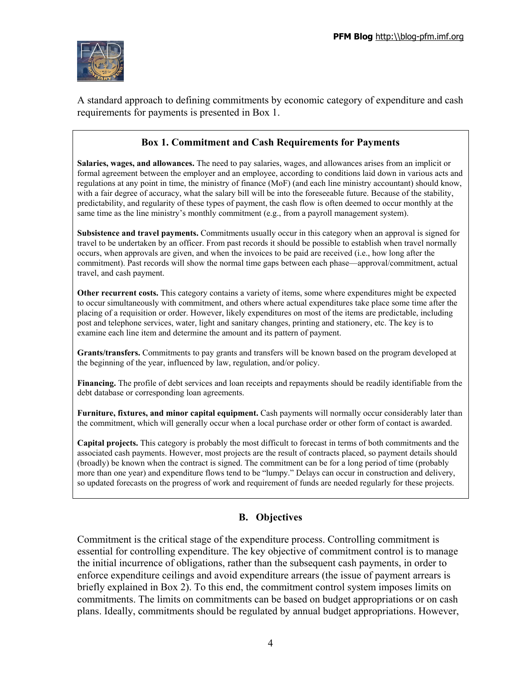

A standard approach to defining commitments by economic category of expenditure and cash requirements for payments is presented in Box 1.

# **Box 1. Commitment and Cash Requirements for Payments**

**Salaries, wages, and allowances.** The need to pay salaries, wages, and allowances arises from an implicit or formal agreement between the employer and an employee, according to conditions laid down in various acts and regulations at any point in time, the ministry of finance (MoF) (and each line ministry accountant) should know, with a fair degree of accuracy, what the salary bill will be into the foreseeable future. Because of the stability, predictability, and regularity of these types of payment, the cash flow is often deemed to occur monthly at the same time as the line ministry's monthly commitment (e.g., from a payroll management system).

**Subsistence and travel payments.** Commitments usually occur in this category when an approval is signed for travel to be undertaken by an officer. From past records it should be possible to establish when travel normally occurs, when approvals are given, and when the invoices to be paid are received (i.e., how long after the commitment). Past records will show the normal time gaps between each phase—approval/commitment, actual travel, and cash payment.

**Other recurrent costs.** This category contains a variety of items, some where expenditures might be expected to occur simultaneously with commitment, and others where actual expenditures take place some time after the placing of a requisition or order. However, likely expenditures on most of the items are predictable, including post and telephone services, water, light and sanitary changes, printing and stationery, etc. The key is to examine each line item and determine the amount and its pattern of payment.

**Grants/transfers.** Commitments to pay grants and transfers will be known based on the program developed at the beginning of the year, influenced by law, regulation, and/or policy.

**Financing.** The profile of debt services and loan receipts and repayments should be readily identifiable from the debt database or corresponding loan agreements.

**Furniture, fixtures, and minor capital equipment.** Cash payments will normally occur considerably later than the commitment, which will generally occur when a local purchase order or other form of contact is awarded.

**Capital projects.** This category is probably the most difficult to forecast in terms of both commitments and the associated cash payments. However, most projects are the result of contracts placed, so payment details should (broadly) be known when the contract is signed. The commitment can be for a long period of time (probably more than one year) and expenditure flows tend to be "lumpy." Delays can occur in construction and delivery, so updated forecasts on the progress of work and requirement of funds are needed regularly for these projects.

# **B. Objectives**

Commitment is the critical stage of the expenditure process. Controlling commitment is essential for controlling expenditure. The key objective of commitment control is to manage the initial incurrence of obligations, rather than the subsequent cash payments, in order to enforce expenditure ceilings and avoid expenditure arrears (the issue of payment arrears is briefly explained in Box 2). To this end, the commitment control system imposes limits on commitments. The limits on commitments can be based on budget appropriations or on cash plans. Ideally, commitments should be regulated by annual budget appropriations. However,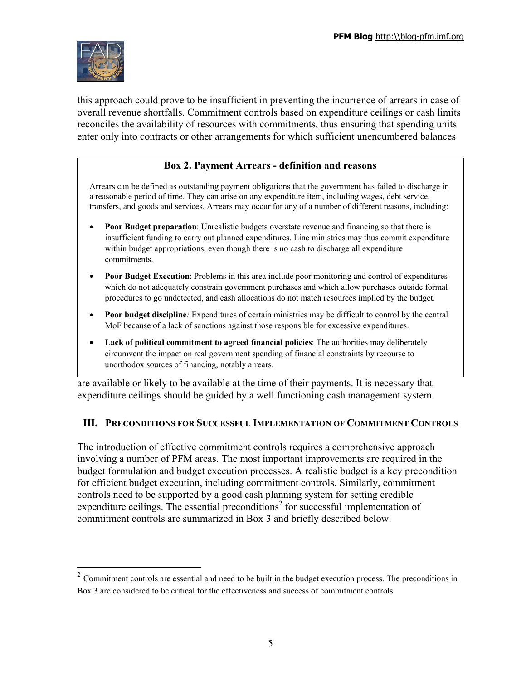

this approach could prove to be insufficient in preventing the incurrence of arrears in case of overall revenue shortfalls. Commitment controls based on expenditure ceilings or cash limits reconciles the availability of resources with commitments, thus ensuring that spending units enter only into contracts or other arrangements for which sufficient unencumbered balances

#### **Box 2. Payment Arrears - definition and reasons**

Arrears can be defined as outstanding payment obligations that the government has failed to discharge in a reasonable period of time. They can arise on any expenditure item, including wages, debt service, transfers, and goods and services. Arrears may occur for any of a number of different reasons, including:

- **Poor Budget preparation**: Unrealistic budgets overstate revenue and financing so that there is insufficient funding to carry out planned expenditures. Line ministries may thus commit expenditure within budget appropriations, even though there is no cash to discharge all expenditure commitments.
- **Poor Budget Execution**: Problems in this area include poor monitoring and control of expenditures which do not adequately constrain government purchases and which allow purchases outside formal procedures to go undetected, and cash allocations do not match resources implied by the budget.
- **Poor budget discipline***:* Expenditures of certain ministries may be difficult to control by the central MoF because of a lack of sanctions against those responsible for excessive expenditures.
- **Lack of political commitment to agreed financial policies**: The authorities may deliberately circumvent the impact on real government spending of financial constraints by recourse to unorthodox sources of financing, notably arrears.

are available or likely to be available at the time of their payments. It is necessary that expenditure ceilings should be guided by a well functioning cash management system.

#### **III. PRECONDITIONS FOR SUCCESSFUL IMPLEMENTATION OF COMMITMENT CONTROLS**

The introduction of effective commitment controls requires a comprehensive approach involving a number of PFM areas. The most important improvements are required in the budget formulation and budget execution processes. A realistic budget is a key precondition for efficient budget execution, including commitment controls. Similarly, commitment controls need to be supported by a good cash planning system for setting credible  $e$ xpenditure ceilings. The essential preconditions<sup>2</sup> for successful implementation of commitment controls are summarized in Box 3 and briefly described below.

 $2^2$  Commitment controls are essential and need to be built in the budget execution process. The preconditions in Box 3 are considered to be critical for the effectiveness and success of commitment controls.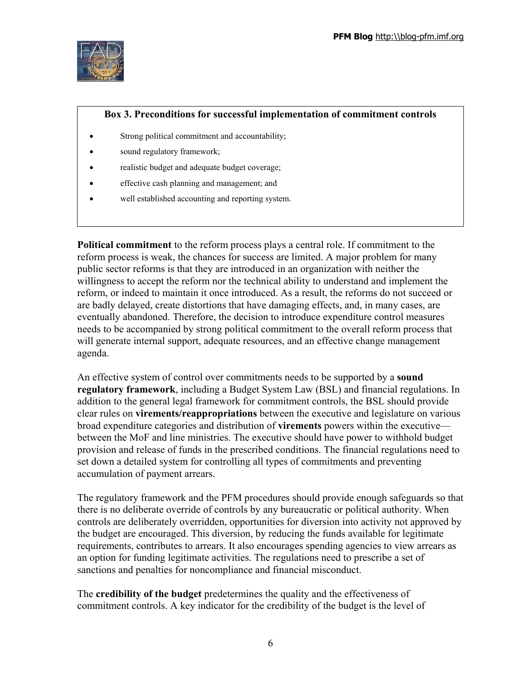

#### **Box 3. Preconditions for successful implementation of commitment controls**

- Strong political commitment and accountability;
- sound regulatory framework;
- realistic budget and adequate budget coverage;
- effective cash planning and management; and
- well established accounting and reporting system.

**Political commitment** to the reform process plays a central role. If commitment to the reform process is weak, the chances for success are limited. A major problem for many public sector reforms is that they are introduced in an organization with neither the willingness to accept the reform nor the technical ability to understand and implement the reform, or indeed to maintain it once introduced. As a result, the reforms do not succeed or are badly delayed, create distortions that have damaging effects, and, in many cases, are eventually abandoned. Therefore, the decision to introduce expenditure control measures needs to be accompanied by strong political commitment to the overall reform process that will generate internal support, adequate resources, and an effective change management agenda.

An effective system of control over commitments needs to be supported by a **sound regulatory framework**, including a Budget System Law (BSL) and financial regulations. In addition to the general legal framework for commitment controls, the BSL should provide clear rules on **virements/reappropriations** between the executive and legislature on various broad expenditure categories and distribution of **virements** powers within the executive between the MoF and line ministries. The executive should have power to withhold budget provision and release of funds in the prescribed conditions. The financial regulations need to set down a detailed system for controlling all types of commitments and preventing accumulation of payment arrears.

The regulatory framework and the PFM procedures should provide enough safeguards so that there is no deliberate override of controls by any bureaucratic or political authority. When controls are deliberately overridden, opportunities for diversion into activity not approved by the budget are encouraged. This diversion, by reducing the funds available for legitimate requirements, contributes to arrears. It also encourages spending agencies to view arrears as an option for funding legitimate activities. The regulations need to prescribe a set of sanctions and penalties for noncompliance and financial misconduct.

The **credibility of the budget** predetermines the quality and the effectiveness of commitment controls. A key indicator for the credibility of the budget is the level of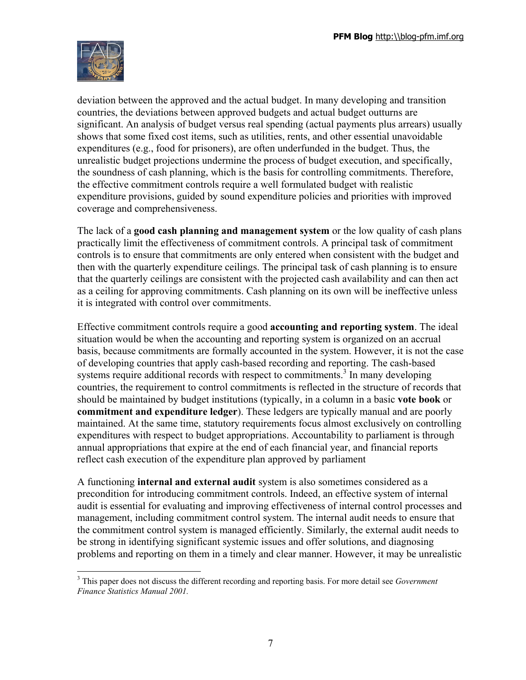

deviation between the approved and the actual budget. In many developing and transition countries, the deviations between approved budgets and actual budget outturns are significant. An analysis of budget versus real spending (actual payments plus arrears) usually shows that some fixed cost items, such as utilities, rents, and other essential unavoidable expenditures (e.g., food for prisoners), are often underfunded in the budget. Thus, the unrealistic budget projections undermine the process of budget execution, and specifically, the soundness of cash planning, which is the basis for controlling commitments. Therefore, the effective commitment controls require a well formulated budget with realistic expenditure provisions, guided by sound expenditure policies and priorities with improved coverage and comprehensiveness.

The lack of a **good cash planning and management system** or the low quality of cash plans practically limit the effectiveness of commitment controls. A principal task of commitment controls is to ensure that commitments are only entered when consistent with the budget and then with the quarterly expenditure ceilings. The principal task of cash planning is to ensure that the quarterly ceilings are consistent with the projected cash availability and can then act as a ceiling for approving commitments. Cash planning on its own will be ineffective unless it is integrated with control over commitments.

Effective commitment controls require a good **accounting and reporting system**. The ideal situation would be when the accounting and reporting system is organized on an accrual basis, because commitments are formally accounted in the system. However, it is not the case of developing countries that apply cash-based recording and reporting. The cash-based systems require additional records with respect to commitments.<sup>3</sup> In many developing countries, the requirement to control commitments is reflected in the structure of records that should be maintained by budget institutions (typically, in a column in a basic **vote book** or **commitment and expenditure ledger**). These ledgers are typically manual and are poorly maintained. At the same time, statutory requirements focus almost exclusively on controlling expenditures with respect to budget appropriations. Accountability to parliament is through annual appropriations that expire at the end of each financial year, and financial reports reflect cash execution of the expenditure plan approved by parliament

A functioning **internal and external audit** system is also sometimes considered as a precondition for introducing commitment controls. Indeed, an effective system of internal audit is essential for evaluating and improving effectiveness of internal control processes and management, including commitment control system. The internal audit needs to ensure that the commitment control system is managed efficiently. Similarly, the external audit needs to be strong in identifying significant systemic issues and offer solutions, and diagnosing problems and reporting on them in a timely and clear manner. However, it may be unrealistic

<sup>3</sup> This paper does not discuss the different recording and reporting basis. For more detail see *Government Finance Statistics Manual 2001.*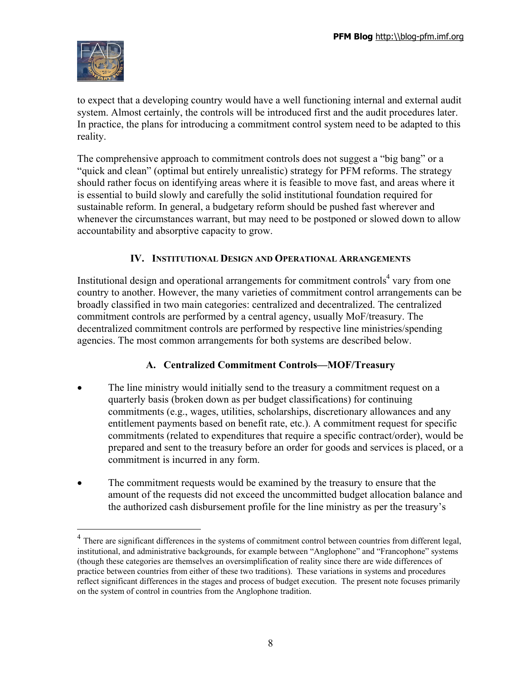

<u>.</u>

to expect that a developing country would have a well functioning internal and external audit system. Almost certainly, the controls will be introduced first and the audit procedures later. In practice, the plans for introducing a commitment control system need to be adapted to this reality.

The comprehensive approach to commitment controls does not suggest a "big bang" or a "quick and clean" (optimal but entirely unrealistic) strategy for PFM reforms. The strategy should rather focus on identifying areas where it is feasible to move fast, and areas where it is essential to build slowly and carefully the solid institutional foundation required for sustainable reform. In general, a budgetary reform should be pushed fast wherever and whenever the circumstances warrant, but may need to be postponed or slowed down to allow accountability and absorptive capacity to grow.

# **IV. INSTITUTIONAL DESIGN AND OPERATIONAL ARRANGEMENTS**

Institutional design and operational arrangements for commitment controls<sup>4</sup> vary from one country to another. However, the many varieties of commitment control arrangements can be broadly classified in two main categories: centralized and decentralized. The centralized commitment controls are performed by a central agency, usually MoF/treasury. The decentralized commitment controls are performed by respective line ministries/spending agencies. The most common arrangements for both systems are described below.

# **A. Centralized Commitment Controls—MOF/Treasury**

- The line ministry would initially send to the treasury a commitment request on a quarterly basis (broken down as per budget classifications) for continuing commitments (e.g., wages, utilities, scholarships, discretionary allowances and any entitlement payments based on benefit rate, etc.). A commitment request for specific commitments (related to expenditures that require a specific contract/order), would be prepared and sent to the treasury before an order for goods and services is placed, or a commitment is incurred in any form.
- The commitment requests would be examined by the treasury to ensure that the amount of the requests did not exceed the uncommitted budget allocation balance and the authorized cash disbursement profile for the line ministry as per the treasury's

 $4$  There are significant differences in the systems of commitment control between countries from different legal, institutional, and administrative backgrounds, for example between "Anglophone" and "Francophone" systems (though these categories are themselves an oversimplification of reality since there are wide differences of practice between countries from either of these two traditions). These variations in systems and procedures reflect significant differences in the stages and process of budget execution. The present note focuses primarily on the system of control in countries from the Anglophone tradition.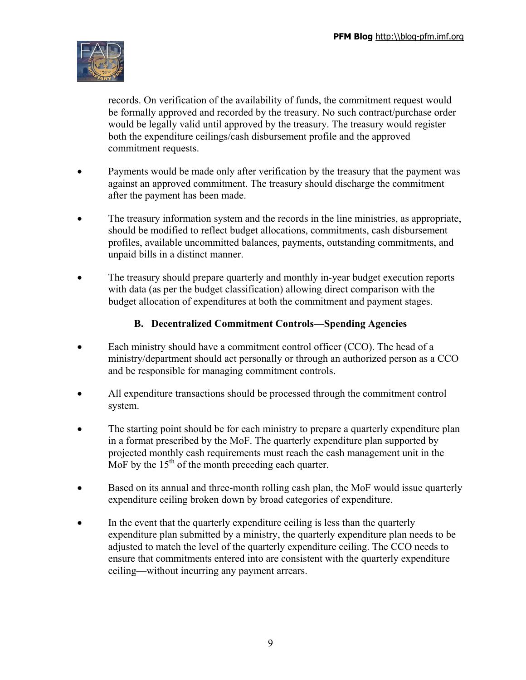

records. On verification of the availability of funds, the commitment request would be formally approved and recorded by the treasury. No such contract/purchase order would be legally valid until approved by the treasury. The treasury would register both the expenditure ceilings/cash disbursement profile and the approved commitment requests.

- Payments would be made only after verification by the treasury that the payment was against an approved commitment. The treasury should discharge the commitment after the payment has been made.
- The treasury information system and the records in the line ministries, as appropriate, should be modified to reflect budget allocations, commitments, cash disbursement profiles, available uncommitted balances, payments, outstanding commitments, and unpaid bills in a distinct manner.
- The treasury should prepare quarterly and monthly in-year budget execution reports with data (as per the budget classification) allowing direct comparison with the budget allocation of expenditures at both the commitment and payment stages.

# **B. Decentralized Commitment Controls—Spending Agencies**

- Each ministry should have a commitment control officer (CCO). The head of a ministry/department should act personally or through an authorized person as a CCO and be responsible for managing commitment controls.
- All expenditure transactions should be processed through the commitment control system.
- The starting point should be for each ministry to prepare a quarterly expenditure plan in a format prescribed by the MoF. The quarterly expenditure plan supported by projected monthly cash requirements must reach the cash management unit in the MoF by the  $15<sup>th</sup>$  of the month preceding each quarter.
- Based on its annual and three-month rolling cash plan, the MoF would issue quarterly expenditure ceiling broken down by broad categories of expenditure.
- In the event that the quarterly expenditure ceiling is less than the quarterly expenditure plan submitted by a ministry, the quarterly expenditure plan needs to be adjusted to match the level of the quarterly expenditure ceiling. The CCO needs to ensure that commitments entered into are consistent with the quarterly expenditure ceiling—without incurring any payment arrears.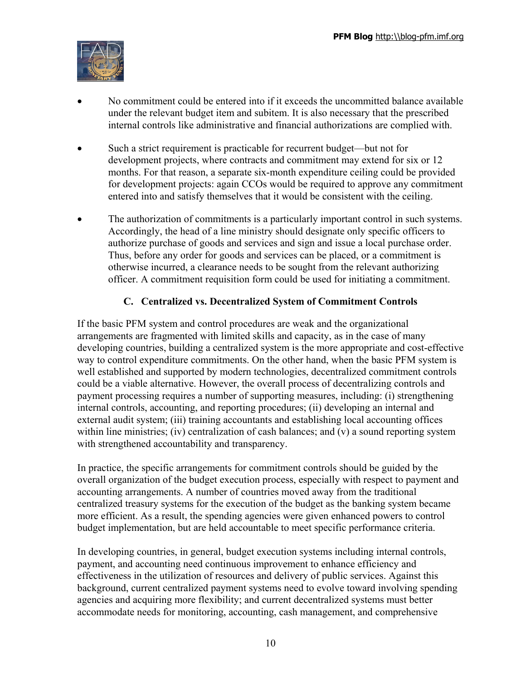

- No commitment could be entered into if it exceeds the uncommitted balance available under the relevant budget item and subitem. It is also necessary that the prescribed internal controls like administrative and financial authorizations are complied with.
- Such a strict requirement is practicable for recurrent budget—but not for development projects, where contracts and commitment may extend for six or 12 months. For that reason, a separate six-month expenditure ceiling could be provided for development projects: again CCOs would be required to approve any commitment entered into and satisfy themselves that it would be consistent with the ceiling.
- The authorization of commitments is a particularly important control in such systems. Accordingly, the head of a line ministry should designate only specific officers to authorize purchase of goods and services and sign and issue a local purchase order. Thus, before any order for goods and services can be placed, or a commitment is otherwise incurred, a clearance needs to be sought from the relevant authorizing officer. A commitment requisition form could be used for initiating a commitment.

# **C. Centralized vs. Decentralized System of Commitment Controls**

If the basic PFM system and control procedures are weak and the organizational arrangements are fragmented with limited skills and capacity, as in the case of many developing countries, building a centralized system is the more appropriate and cost-effective way to control expenditure commitments. On the other hand, when the basic PFM system is well established and supported by modern technologies, decentralized commitment controls could be a viable alternative. However, the overall process of decentralizing controls and payment processing requires a number of supporting measures, including: (i) strengthening internal controls, accounting, and reporting procedures; (ii) developing an internal and external audit system; (iii) training accountants and establishing local accounting offices within line ministries; (iv) centralization of cash balances; and (v) a sound reporting system with strengthened accountability and transparency.

In practice, the specific arrangements for commitment controls should be guided by the overall organization of the budget execution process, especially with respect to payment and accounting arrangements. A number of countries moved away from the traditional centralized treasury systems for the execution of the budget as the banking system became more efficient. As a result, the spending agencies were given enhanced powers to control budget implementation, but are held accountable to meet specific performance criteria.

In developing countries, in general, budget execution systems including internal controls, payment, and accounting need continuous improvement to enhance efficiency and effectiveness in the utilization of resources and delivery of public services. Against this background, current centralized payment systems need to evolve toward involving spending agencies and acquiring more flexibility; and current decentralized systems must better accommodate needs for monitoring, accounting, cash management, and comprehensive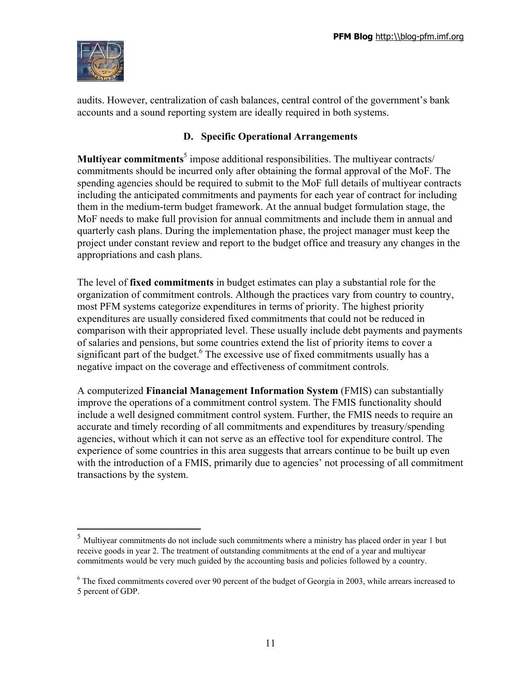

audits. However, centralization of cash balances, central control of the government's bank accounts and a sound reporting system are ideally required in both systems.

# **D. Specific Operational Arrangements**

**Multiyear commitments**<sup>5</sup> impose additional responsibilities. The multiyear contracts/ commitments should be incurred only after obtaining the formal approval of the MoF. The spending agencies should be required to submit to the MoF full details of multiyear contracts including the anticipated commitments and payments for each year of contract for including them in the medium-term budget framework. At the annual budget formulation stage, the MoF needs to make full provision for annual commitments and include them in annual and quarterly cash plans. During the implementation phase, the project manager must keep the project under constant review and report to the budget office and treasury any changes in the appropriations and cash plans.

The level of **fixed commitments** in budget estimates can play a substantial role for the organization of commitment controls. Although the practices vary from country to country, most PFM systems categorize expenditures in terms of priority. The highest priority expenditures are usually considered fixed commitments that could not be reduced in comparison with their appropriated level. These usually include debt payments and payments of salaries and pensions, but some countries extend the list of priority items to cover a significant part of the budget.<sup>6</sup> The excessive use of fixed commitments usually has a negative impact on the coverage and effectiveness of commitment controls.

A computerized **Financial Management Information System** (FMIS) can substantially improve the operations of a commitment control system. The FMIS functionality should include a well designed commitment control system. Further, the FMIS needs to require an accurate and timely recording of all commitments and expenditures by treasury/spending agencies, without which it can not serve as an effective tool for expenditure control. The experience of some countries in this area suggests that arrears continue to be built up even with the introduction of a FMIS, primarily due to agencies' not processing of all commitment transactions by the system.

<sup>5</sup> Multiyear commitments do not include such commitments where a ministry has placed order in year 1 but receive goods in year 2. The treatment of outstanding commitments at the end of a year and multiyear commitments would be very much guided by the accounting basis and policies followed by a country.

<sup>&</sup>lt;sup>6</sup> The fixed commitments covered over 90 percent of the budget of Georgia in 2003, while arrears increased to 5 percent of GDP.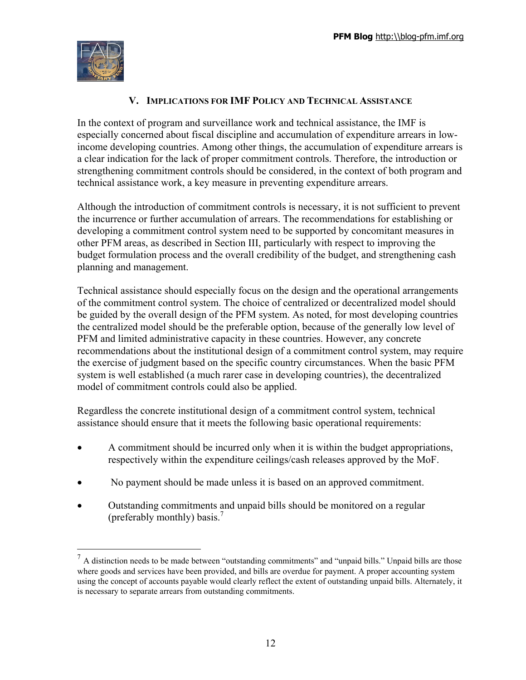

## **V. IMPLICATIONS FOR IMF POLICY AND TECHNICAL ASSISTANCE**

In the context of program and surveillance work and technical assistance, the IMF is especially concerned about fiscal discipline and accumulation of expenditure arrears in lowincome developing countries. Among other things, the accumulation of expenditure arrears is a clear indication for the lack of proper commitment controls. Therefore, the introduction or strengthening commitment controls should be considered, in the context of both program and technical assistance work, a key measure in preventing expenditure arrears.

Although the introduction of commitment controls is necessary, it is not sufficient to prevent the incurrence or further accumulation of arrears. The recommendations for establishing or developing a commitment control system need to be supported by concomitant measures in other PFM areas, as described in Section III, particularly with respect to improving the budget formulation process and the overall credibility of the budget, and strengthening cash planning and management.

Technical assistance should especially focus on the design and the operational arrangements of the commitment control system. The choice of centralized or decentralized model should be guided by the overall design of the PFM system. As noted, for most developing countries the centralized model should be the preferable option, because of the generally low level of PFM and limited administrative capacity in these countries. However, any concrete recommendations about the institutional design of a commitment control system, may require the exercise of judgment based on the specific country circumstances. When the basic PFM system is well established (a much rarer case in developing countries), the decentralized model of commitment controls could also be applied.

Regardless the concrete institutional design of a commitment control system, technical assistance should ensure that it meets the following basic operational requirements:

- A commitment should be incurred only when it is within the budget appropriations, respectively within the expenditure ceilings/cash releases approved by the MoF.
- No payment should be made unless it is based on an approved commitment.
- Outstanding commitments and unpaid bills should be monitored on a regular (preferably monthly) basis.<sup>7</sup>

 $<sup>7</sup>$  A distinction needs to be made between "outstanding commitments" and "unpaid bills." Unpaid bills are those</sup> where goods and services have been provided, and bills are overdue for payment. A proper accounting system using the concept of accounts payable would clearly reflect the extent of outstanding unpaid bills. Alternately, it is necessary to separate arrears from outstanding commitments.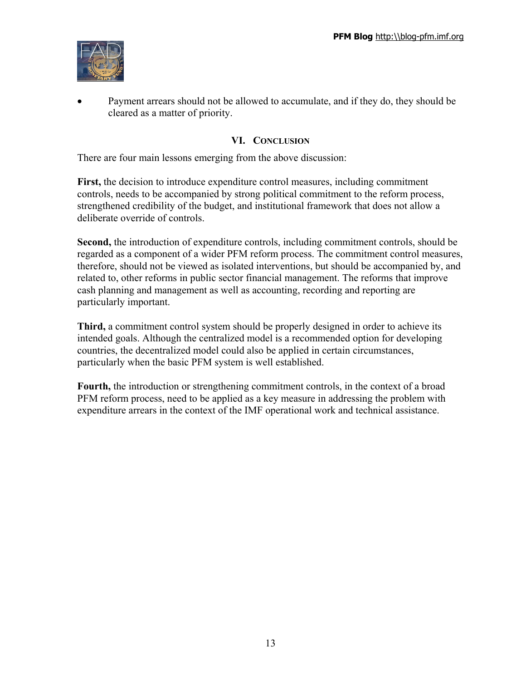

• Payment arrears should not be allowed to accumulate, and if they do, they should be cleared as a matter of priority.

## **VI. CONCLUSION**

There are four main lessons emerging from the above discussion:

**First,** the decision to introduce expenditure control measures, including commitment controls, needs to be accompanied by strong political commitment to the reform process, strengthened credibility of the budget, and institutional framework that does not allow a deliberate override of controls.

**Second,** the introduction of expenditure controls, including commitment controls, should be regarded as a component of a wider PFM reform process. The commitment control measures, therefore, should not be viewed as isolated interventions, but should be accompanied by, and related to, other reforms in public sector financial management. The reforms that improve cash planning and management as well as accounting, recording and reporting are particularly important.

**Third,** a commitment control system should be properly designed in order to achieve its intended goals. Although the centralized model is a recommended option for developing countries, the decentralized model could also be applied in certain circumstances, particularly when the basic PFM system is well established.

**Fourth,** the introduction or strengthening commitment controls, in the context of a broad PFM reform process, need to be applied as a key measure in addressing the problem with expenditure arrears in the context of the IMF operational work and technical assistance.